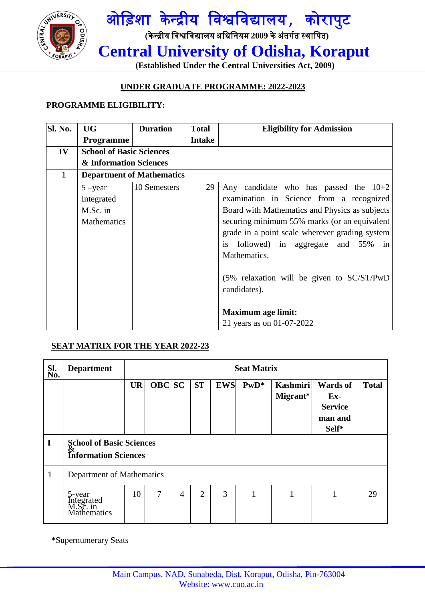



 **(Established Under the Central Universities Act, 2009)**

## **UNDER GRADUATE PROGRAMME: 2022-2023**

## **PROGRAMME ELIGIBILITY:**

| <b>Sl. No.</b> | <b>UG</b>                                           | <b>Duration</b> | <b>Total</b>  | <b>Eligibility for Admission</b>                                                                                                                                                                                                                                                                                                                                                                                             |  |  |  |  |  |  |  |  |
|----------------|-----------------------------------------------------|-----------------|---------------|------------------------------------------------------------------------------------------------------------------------------------------------------------------------------------------------------------------------------------------------------------------------------------------------------------------------------------------------------------------------------------------------------------------------------|--|--|--|--|--|--|--|--|
|                | <b>Programme</b>                                    |                 | <b>Intake</b> |                                                                                                                                                                                                                                                                                                                                                                                                                              |  |  |  |  |  |  |  |  |
| IV             | <b>School of Basic Sciences</b>                     |                 |               |                                                                                                                                                                                                                                                                                                                                                                                                                              |  |  |  |  |  |  |  |  |
|                | & Information Sciences                              |                 |               |                                                                                                                                                                                                                                                                                                                                                                                                                              |  |  |  |  |  |  |  |  |
| $\mathbf{1}$   | <b>Department of Mathematics</b>                    |                 |               |                                                                                                                                                                                                                                                                                                                                                                                                                              |  |  |  |  |  |  |  |  |
|                | $5 - year$<br>Integrated<br>M.Sc. in<br>Mathematics | 10 Semesters    | 29            | Any candidate who has passed the $10+2$<br>examination in Science from a recognized<br>Board with Mathematics and Physics as subjects<br>securing minimum 55% marks (or an equivalent<br>grade in a point scale wherever grading system<br>followed) in aggregate and 55% in<br>is<br>Mathematics.<br>$(5\%$ relaxation will be given to SC/ST/PwD<br>candidates).<br><b>Maximum age limit:</b><br>21 years as on 01-07-2022 |  |  |  |  |  |  |  |  |

## **SEAT MATRIX FOR THE YEAR 2022-23**

| Sl.<br>No.   | <b>Department</b>                                       | <b>Seat Matrix</b> |               |                |                |            |        |                             |                                                                |              |  |  |  |
|--------------|---------------------------------------------------------|--------------------|---------------|----------------|----------------|------------|--------|-----------------------------|----------------------------------------------------------------|--------------|--|--|--|
|              |                                                         | <b>UR</b>          | <b>OBC</b> SC |                | <b>ST</b>      | <b>EWS</b> | $PwD*$ | <b>Kashmiri</b><br>Migrant* | <b>Wards of</b><br>$Ex-$<br><b>Service</b><br>man and<br>Self* | <b>Total</b> |  |  |  |
| I            | School of Basic Sciences<br><b>Information Sciences</b> |                    |               |                |                |            |        |                             |                                                                |              |  |  |  |
| $\mathbf{1}$ | Department of Mathematics                               |                    |               |                |                |            |        |                             |                                                                |              |  |  |  |
|              | 5-year<br>Integrated<br>M.Sc. in<br><b>Mathematics</b>  | 10                 | 7             | $\overline{4}$ | $\overline{2}$ | 3          | 1      |                             |                                                                | 29           |  |  |  |

\*Supernumerary Seats